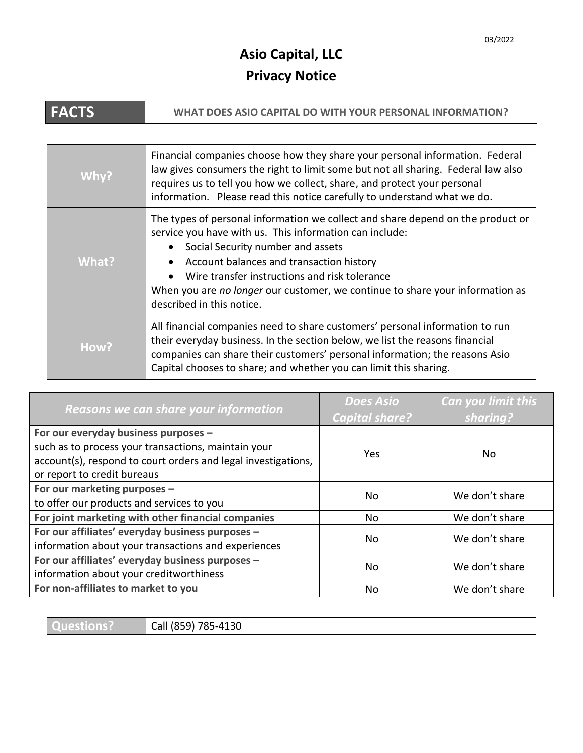## **Asio Capital, LLC Privacy Notice**

| <b>FACTS</b> | WHAT DOES ASIO CAPITAL DO WITH YOUR PERSONAL INFORMATION?                                                                                                                                                                                                                                                                                                                                                 |
|--------------|-----------------------------------------------------------------------------------------------------------------------------------------------------------------------------------------------------------------------------------------------------------------------------------------------------------------------------------------------------------------------------------------------------------|
|              |                                                                                                                                                                                                                                                                                                                                                                                                           |
| Why?         | Financial companies choose how they share your personal information. Federal<br>law gives consumers the right to limit some but not all sharing. Federal law also<br>requires us to tell you how we collect, share, and protect your personal<br>information. Please read this notice carefully to understand what we do.                                                                                 |
| What?        | The types of personal information we collect and share depend on the product or<br>service you have with us. This information can include:<br>• Social Security number and assets<br>Account balances and transaction history<br>$\bullet$<br>Wire transfer instructions and risk tolerance<br>When you are no longer our customer, we continue to share your information as<br>described in this notice. |
| How?         | All financial companies need to share customers' personal information to run<br>their everyday business. In the section below, we list the reasons financial<br>companies can share their customers' personal information; the reasons Asio<br>Capital chooses to share; and whether you can limit this sharing.                                                                                          |

| Reasons we can share your information                                                                                                                                                       | <b>Does Asio</b><br><b>Capital share?</b> | Can you limit this<br>sharing? |
|---------------------------------------------------------------------------------------------------------------------------------------------------------------------------------------------|-------------------------------------------|--------------------------------|
| For our everyday business purposes -<br>such as to process your transactions, maintain your<br>account(s), respond to court orders and legal investigations,<br>or report to credit bureaus | Yes                                       | No.                            |
| For our marketing purposes -<br>to offer our products and services to you                                                                                                                   | No                                        | We don't share                 |
| For joint marketing with other financial companies                                                                                                                                          | No                                        | We don't share                 |
| For our affiliates' everyday business purposes -<br>information about your transactions and experiences                                                                                     | No                                        | We don't share                 |
| For our affiliates' everyday business purposes -<br>information about your creditworthiness                                                                                                 | N <sub>0</sub>                            | We don't share                 |
| For non-affiliates to market to you                                                                                                                                                         | No                                        | We don't share                 |

| <u>LUILLESTI</u><br>18 K | 1120<br>70F<br>Call<br>4130<br><u>¬-д</u><br>$\sim$<br>. ہ ک |
|--------------------------|--------------------------------------------------------------|
|                          |                                                              |